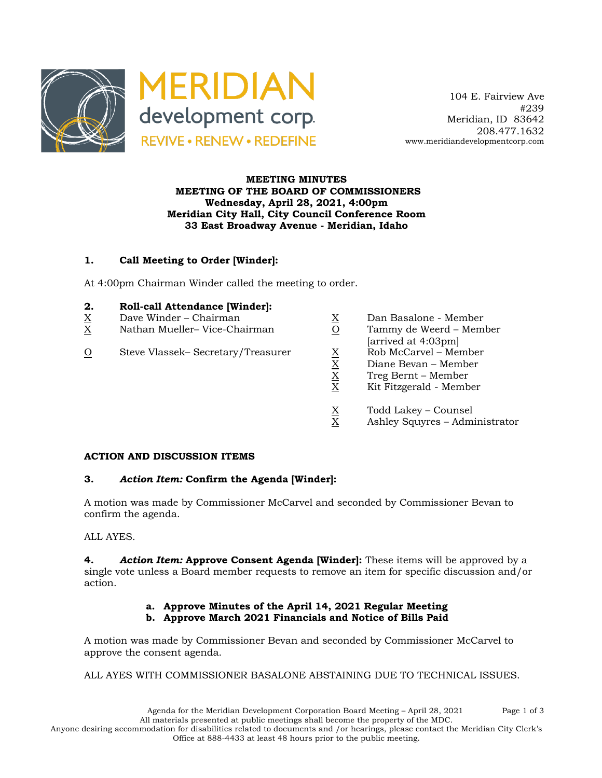

 104 E. Fairview Ave #239 Meridian, ID 83642 208.477.1632 www.meridiandevelopmentcorp.com

#### **MEETING MINUTES MEETING OF THE BOARD OF COMMISSIONERS Wednesday, April 28, 2021, 4:00pm Meridian City Hall, City Council Conference Room 33 East Broadway Avenue - Meridian, Idaho**

### **1. Call Meeting to Order [Winder]:**

At 4:00pm Chairman Winder called the meeting to order.

- **2. Roll-call Attendance [Winder]:**
- X Dave Winder Chairman
- X Nathan Mueller– Vice-Chairman
- O Steve Vlassek– Secretary/Treasurer

| $\underline{X}$ | Dan Basalone - Member   |
|-----------------|-------------------------|
| $\Omega$        | Tammy de Weerd - Member |
|                 | [arrived at 4:03pm]     |
| $\underline{X}$ | Rob McCarvel - Member   |
| $\underline{X}$ | Diane Bevan – Member    |
| $\underline{X}$ | Treg Bernt – Member     |
| $\mathbf X$     | Kit Fitzgerald - Member |
| v               | Todd Lakey - Counsel    |

 $X$  Ashley Squyres – Administrator

#### **ACTION AND DISCUSSION ITEMS**

### **3.** *Action Item:* **Confirm the Agenda [Winder]:**

A motion was made by Commissioner McCarvel and seconded by Commissioner Bevan to confirm the agenda.

ALL AYES.

**4.** *Action Item:* **Approve Consent Agenda [Winder]:** These items will be approved by a single vote unless a Board member requests to remove an item for specific discussion and/or action.

#### **a. Approve Minutes of the April 14, 2021 Regular Meeting b. Approve March 2021 Financials and Notice of Bills Paid**

A motion was made by Commissioner Bevan and seconded by Commissioner McCarvel to approve the consent agenda.

ALL AYES WITH COMMISSIONER BASALONE ABSTAINING DUE TO TECHNICAL ISSUES.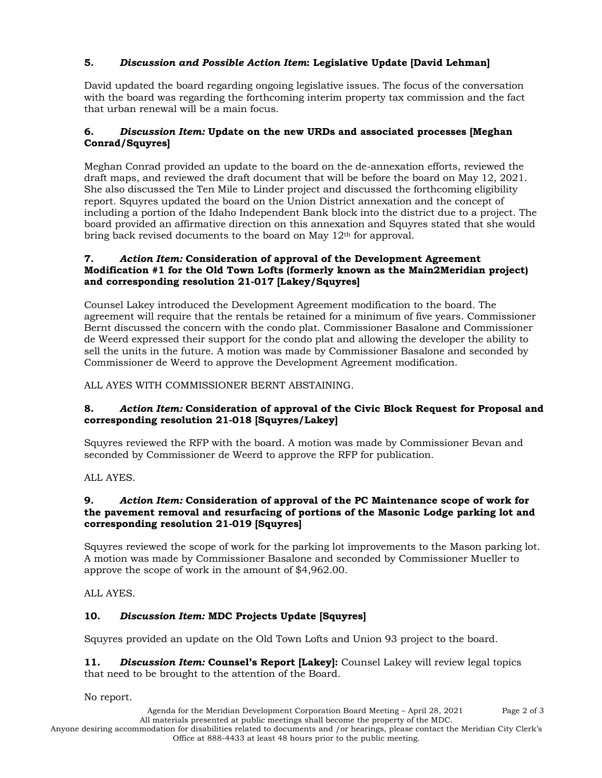# **5.** *Discussion and Possible Action Item***: Legislative Update [David Lehman]**

David updated the board regarding ongoing legislative issues. The focus of the conversation with the board was regarding the forthcoming interim property tax commission and the fact that urban renewal will be a main focus.

## **6.** *Discussion Item:* **Update on the new URDs and associated processes [Meghan Conrad/Squyres]**

Meghan Conrad provided an update to the board on the de-annexation efforts, reviewed the draft maps, and reviewed the draft document that will be before the board on May 12, 2021. She also discussed the Ten Mile to Linder project and discussed the forthcoming eligibility report. Squyres updated the board on the Union District annexation and the concept of including a portion of the Idaho Independent Bank block into the district due to a project. The board provided an affirmative direction on this annexation and Squyres stated that she would bring back revised documents to the board on May 12<sup>th</sup> for approval.

### **7.** *Action Item:* **Consideration of approval of the Development Agreement Modification #1 for the Old Town Lofts (formerly known as the Main2Meridian project) and corresponding resolution 21-017 [Lakey/Squyres]**

Counsel Lakey introduced the Development Agreement modification to the board. The agreement will require that the rentals be retained for a minimum of five years. Commissioner Bernt discussed the concern with the condo plat. Commissioner Basalone and Commissioner de Weerd expressed their support for the condo plat and allowing the developer the ability to sell the units in the future. A motion was made by Commissioner Basalone and seconded by Commissioner de Weerd to approve the Development Agreement modification.

### ALL AYES WITH COMMISSIONER BERNT ABSTAINING.

### **8.** *Action Item:* **Consideration of approval of the Civic Block Request for Proposal and corresponding resolution 21-018 [Squyres/Lakey]**

Squyres reviewed the RFP with the board. A motion was made by Commissioner Bevan and seconded by Commissioner de Weerd to approve the RFP for publication.

### ALL AYES.

#### **9.** *Action Item:* **Consideration of approval of the PC Maintenance scope of work for the pavement removal and resurfacing of portions of the Masonic Lodge parking lot and corresponding resolution 21-019 [Squyres]**

Squyres reviewed the scope of work for the parking lot improvements to the Mason parking lot. A motion was made by Commissioner Basalone and seconded by Commissioner Mueller to approve the scope of work in the amount of \$4,962.00.

ALL AYES.

### **10.** *Discussion Item:* **MDC Projects Update [Squyres]**

Squyres provided an update on the Old Town Lofts and Union 93 project to the board.

**11.** *Discussion Item:* **Counsel's Report [Lakey]:** Counsel Lakey will review legal topics that need to be brought to the attention of the Board.

No report.